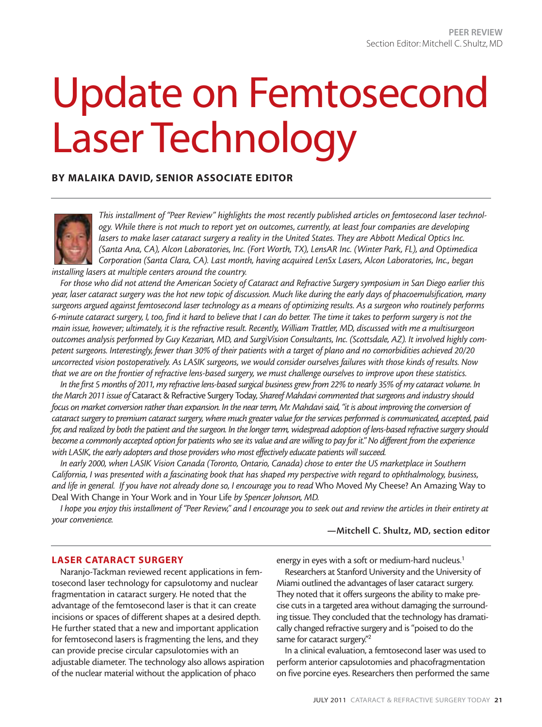# Update on Femtosecond Laser Technology

#### **BY MALAIKA DAVID, SENIOR ASSOCIATE EDITOR**



*This installment of "Peer Review" highlights the most recently published articles on femtosecond laser technology. While there is not much to report yet on outcomes, currently, at least four companies are developing lasers to make laser cataract surgery a reality in the United States. They are Abbott Medical Optics Inc. (Santa Ana, CA), Alcon Laboratories, Inc. (Fort Worth, TX), LensAR Inc. (Winter Park, FL), and Optimedica Corporation (Santa Clara, CA). Last month, having acquired LenSx Lasers, Alcon Laboratories, Inc., began installing lasers at multiple centers around the country.*

*For those who did not attend the American Society of Cataract and Refractive Surgery symposium in San Diego earlier this year, laser cataract surgery was the hot new topic of discussion. Much like during the early days of phacoemulsification, many surgeons argued against femtosecond laser technology as a means of optimizing results. As a surgeon who routinely performs 6-minute cataract surgery, I, too, find it hard to believe that I can do better. The time it takes to perform surgery is not the main issue, however; ultimately, it is the refractive result. Recently, William Trattler, MD, discussed with me a multisurgeon outcomes analysis performed by Guy Kezarian, MD, and SurgiVision Consultants, Inc. (Scottsdale, AZ). It involved highly competent surgeons. Interestingly, fewer than 30% of their patients with a target of plano and no comorbidities achieved 20/20 uncorrected vision postoperatively. As LASIK surgeons, we would consider ourselves failures with those kinds of results. Now that we are on the frontier of refractive lens-based surgery, we must challenge ourselves to improve upon these statistics.*

*In the first 5 months of 2011, my refractive lens-based surgical business grew from 22% to nearly 35% of my cataract volume. In the March 2011 issue of* Cataract & Refractive Surgery Today*, Shareef Mahdavi commented that surgeons and industry should focus on market conversion rather than expansion. In the near term, Mr. Mahdavi said, "it is about improving the conversion of cataract surgery to premium cataract surgery, where much greater value for the services performed is communicated, accepted, paid for, and realized by both the patient and the surgeon. In the longer term, widespread adoption of lens-based refractive surgery should become a commonly accepted option for patients who see its value and are willing to pay for it." No different from the experience with LASIK, the early adopters and those providers who most effectively educate patients will succeed.* 

*In early 2000, when LASIK Vision Canada (Toronto, Ontario, Canada) chose to enter the US marketplace in Southern California, I was presented with a fascinating book that has shaped my perspective with regard to ophthalmology, business, and life in general. If you have not already done so, I encourage you to read* Who Moved My Cheese? An Amazing Way to Deal With Change in Your Work and in Your Life *by Spencer Johnson, MD.*

*I hope you enjoy this installment of "Peer Review," and I encourage you to seek out and review the articles in their entirety at your convenience.*

#### **—Mitchell C. Shultz, MD, section editor**

#### **LASER CATARACT SURGERY**

Naranjo-Tackman reviewed recent applications in femtosecond laser technology for capsulotomy and nuclear fragmentation in cataract surgery. He noted that the advantage of the femtosecond laser is that it can create incisions or spaces of different shapes at a desired depth. He further stated that a new and important application for femtosecond lasers is fragmenting the lens, and they can provide precise circular capsulotomies with an adjustable diameter. The technology also allows aspiration of the nuclear material without the application of phaco

energy in eyes with a soft or medium-hard nucleus.<sup>1</sup>

Researchers at Stanford University and the University of Miami outlined the advantages of laser cataract surgery. They noted that it offers surgeons the ability to make precise cuts in a targeted area without damaging the surrounding tissue. They concluded that the technology has dramatically changed refractive surgery and is "poised to do the same for cataract surgery."<sup>2</sup>

In a clinical evaluation, a femtosecond laser was used to perform anterior capsulotomies and phacofragmentation on five porcine eyes. Researchers then performed the same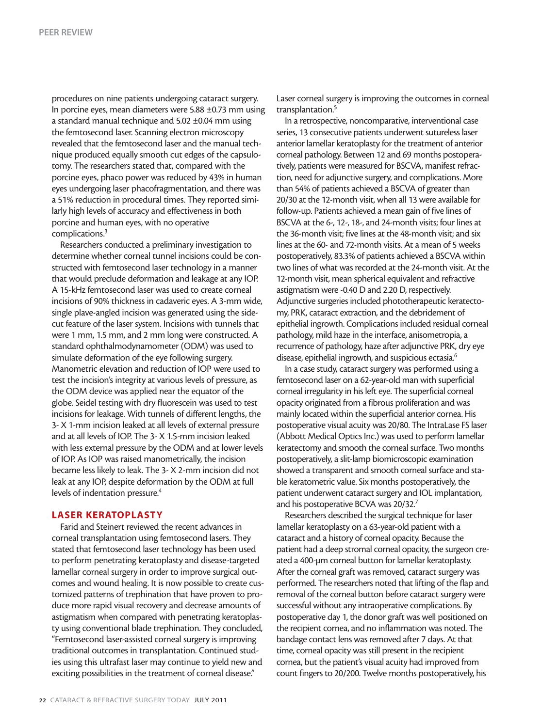procedures on nine patients undergoing cataract surgery. In porcine eyes, mean diameters were 5.88 ±0.73 mm using a standard manual technique and 5.02 ±0.04 mm using the femtosecond laser. Scanning electron microscopy revealed that the femtosecond laser and the manual technique produced equally smooth cut edges of the capsulotomy. The researchers stated that, compared with the porcine eyes, phaco power was reduced by 43% in human eyes undergoing laser phacofragmentation, and there was a 51% reduction in procedural times. They reported similarly high levels of accuracy and effectiveness in both porcine and human eyes, with no operative complications.3

Researchers conducted a preliminary investigation to determine whether corneal tunnel incisions could be constructed with femtosecond laser technology in a manner that would preclude deformation and leakage at any IOP. A 15-kHz femtosecond laser was used to create corneal incisions of 90% thickness in cadaveric eyes. A 3-mm wide, single plave-angled incision was generated using the sidecut feature of the laser system. Incisions with tunnels that were 1 mm, 1.5 mm, and 2 mm long were constructed. A standard ophthalmodynamometer (ODM) was used to simulate deformation of the eye following surgery. Manometric elevation and reduction of IOP were used to test the incision's integrity at various levels of pressure, as the ODM device was applied near the equator of the globe. Seidel testing with dry fluorescein was used to test incisions for leakage. With tunnels of different lengths, the 3- X 1-mm incision leaked at all levels of external pressure and at all levels of IOP. The 3- X 1.5-mm incision leaked with less external pressure by the ODM and at lower levels of IOP. As IOP was raised manometrically, the incision became less likely to leak. The 3- X 2-mm incision did not leak at any IOP, despite deformation by the ODM at full levels of indentation pressure.<sup>4</sup>

#### **LASER KERATOPLASTY**

Farid and Steinert reviewed the recent advances in corneal transplantation using femtosecond lasers. They stated that femtosecond laser technology has been used to perform penetrating keratoplasty and disease-targeted lamellar corneal surgery in order to improve surgical outcomes and wound healing. It is now possible to create customized patterns of trephination that have proven to produce more rapid visual recovery and decrease amounts of astigmatism when compared with penetrating keratoplasty using conventional blade trephination. They concluded, "Femtosecond laser-assisted corneal surgery is improving traditional outcomes in transplantation. Continued studies using this ultrafast laser may continue to yield new and exciting possibilities in the treatment of corneal disease."

Laser corneal surgery is improving the outcomes in corneal transplantation.<sup>5</sup>

In a retrospective, noncomparative, interventional case series, 13 consecutive patients underwent sutureless laser anterior lamellar keratoplasty for the treatment of anterior corneal pathology. Between 12 and 69 months postoperatively, patients were measured for BSCVA, manifest refraction, need for adjunctive surgery, and complications. More than 54% of patients achieved a BSCVA of greater than 20/30 at the 12-month visit, when all 13 were available for follow-up. Patients achieved a mean gain of five lines of BSCVA at the 6-, 12-, 18-, and 24-month visits; four lines at the 36-month visit; five lines at the 48-month visit; and six lines at the 60- and 72-month visits. At a mean of 5 weeks postoperatively, 83.3% of patients achieved a BSCVA within two lines of what was recorded at the 24-month visit. At the 12-month visit, mean spherical equivalent and refractive astigmatism were -0.40 D and 2.20 D, respectively. Adjunctive surgeries included phototherapeutic keratectomy, PRK, cataract extraction, and the debridement of epithelial ingrowth. Complications included residual corneal pathology, mild haze in the interface, anisometropia, a recurrence of pathology, haze after adjunctive PRK, dry eye disease, epithelial ingrowth, and suspicious ectasia.<sup>6</sup>

In a case study, cataract surgery was performed using a femtosecond laser on a 62-year-old man with superficial corneal irregularity in his left eye. The superficial corneal opacity originated from a fibrous proliferation and was mainly located within the superficial anterior cornea. His postoperative visual acuity was 20/80. The IntraLase FS laser (Abbott Medical Optics Inc.) was used to perform lamellar keratectomy and smooth the corneal surface. Two months postoperatively, a slit-lamp biomicroscopic examination showed a transparent and smooth corneal surface and stable keratometric value. Six months postoperatively, the patient underwent cataract surgery and IOL implantation, and his postoperative BCVA was 20/32.7

Researchers described the surgical technique for laser lamellar keratoplasty on a 63-year-old patient with a cataract and a history of corneal opacity. Because the patient had a deep stromal corneal opacity, the surgeon created a 400-µm corneal button for lamellar keratoplasty. After the corneal graft was removed, cataract surgery was performed. The researchers noted that lifting of the flap and removal of the corneal button before cataract surgery were successful without any intraoperative complications. By postoperative day 1, the donor graft was well positioned on the recipient cornea, and no inflammation was noted. The bandage contact lens was removed after 7 days. At that time, corneal opacity was still present in the recipient cornea, but the patient's visual acuity had improved from count fingers to 20/200. Twelve months postoperatively, his